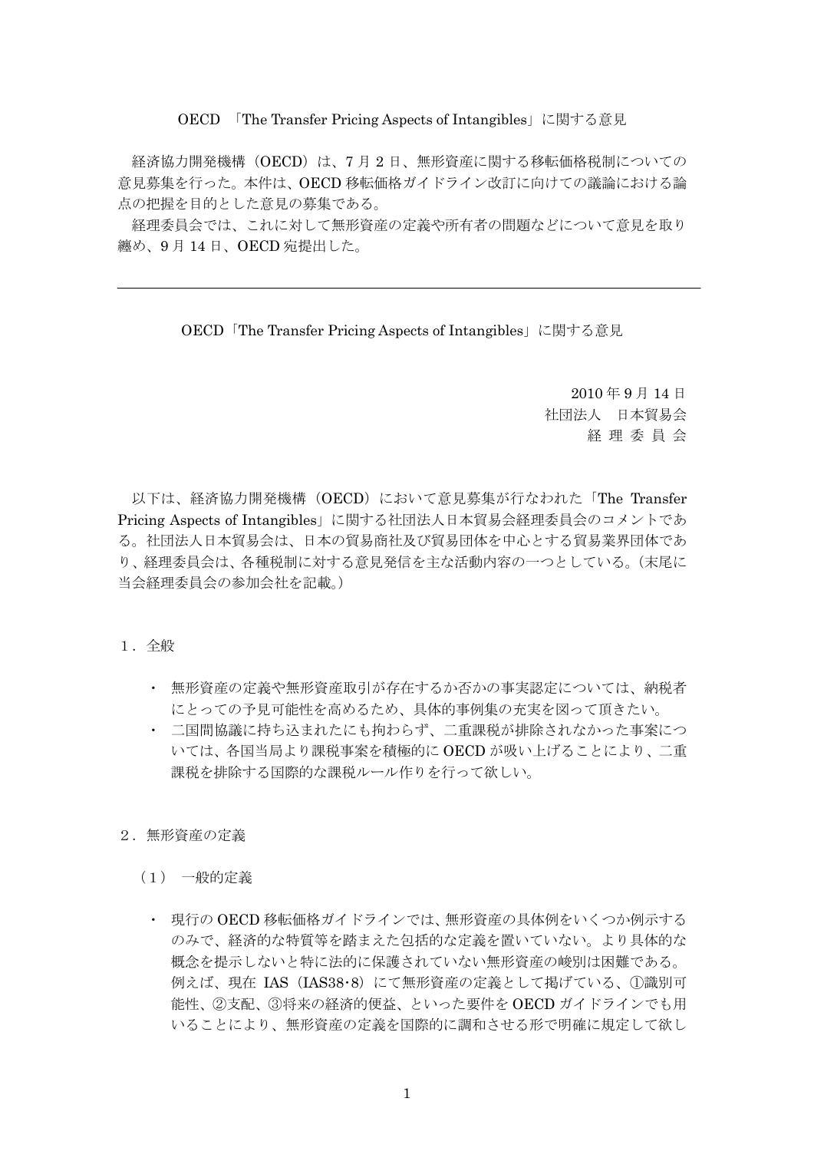OECD 「The Transfer Pricing Aspects of Intangibles」に関する意見

経済協力開発機構(OECD)は、7月2日、無形資産に関する移転価格税制についての 意見募集を行った。本件は、OECD 移転価格ガイドライン改訂に向けての議論における論 点の把握を目的とした意見の募集である。

経理委員会では、これに対して無形資産の定義や所有者の問題などについて意見を取り 纏め、9 月 14 日、OECD 宛提出した。

OECD「The Transfer Pricing Aspects of Intangibles」に関する意見

 2010 年 9 月 14 日 社団法人 日本貿易会 経 理 委 員 会

以下は、経済協力開発機構 (OECD) において意見募集が行なわれた「The Transfer Pricing Aspects of Intangibles」に関する社団法人日本貿易会経理委員会のコメントであ る。社団法人日本貿易会は、日本の貿易商社及び貿易団体を中心とする貿易業界団体であ り、経理委員会は、各種税制に対する意見発信を主な活動内容の一つとしている。(末尾に 当会経理委員会の参加会社を記載。)

#### 1.全般

- ・ 無形資産の定義や無形資産取引が存在するか否かの事実認定については、納税者 にとっての予見可能性を高めるため、具体的事例集の充実を図って頂きたい。
- ・ 二国間協議に持ち込まれたにも拘わらず、二重課税が排除されなかった事案につ いては、各国当局より課税事案を積極的に OECD が吸い上げることにより、二重 課税を排除する国際的な課税ルール作りを行って欲しい。
- 2.無形資産の定義
	- (1) 一般的定義
		- ・ 現行の OECD 移転価格ガイドラインでは、無形資産の具体例をいくつか例示する のみで、経済的な特質等を踏まえた包括的な定義を置いていない。より具体的な 概念を提示しないと特に法的に保護されていない無形資産の峻別は困難である。 例えば、現在 IAS (IAS38·8)にて無形資産の定義として掲げている、①識別可 能性、②支配、③将来の経済的便益、といった要件を OECD ガイドラインでも用 いることにより、無形資産の定義を国際的に調和させる形で明確に規定して欲し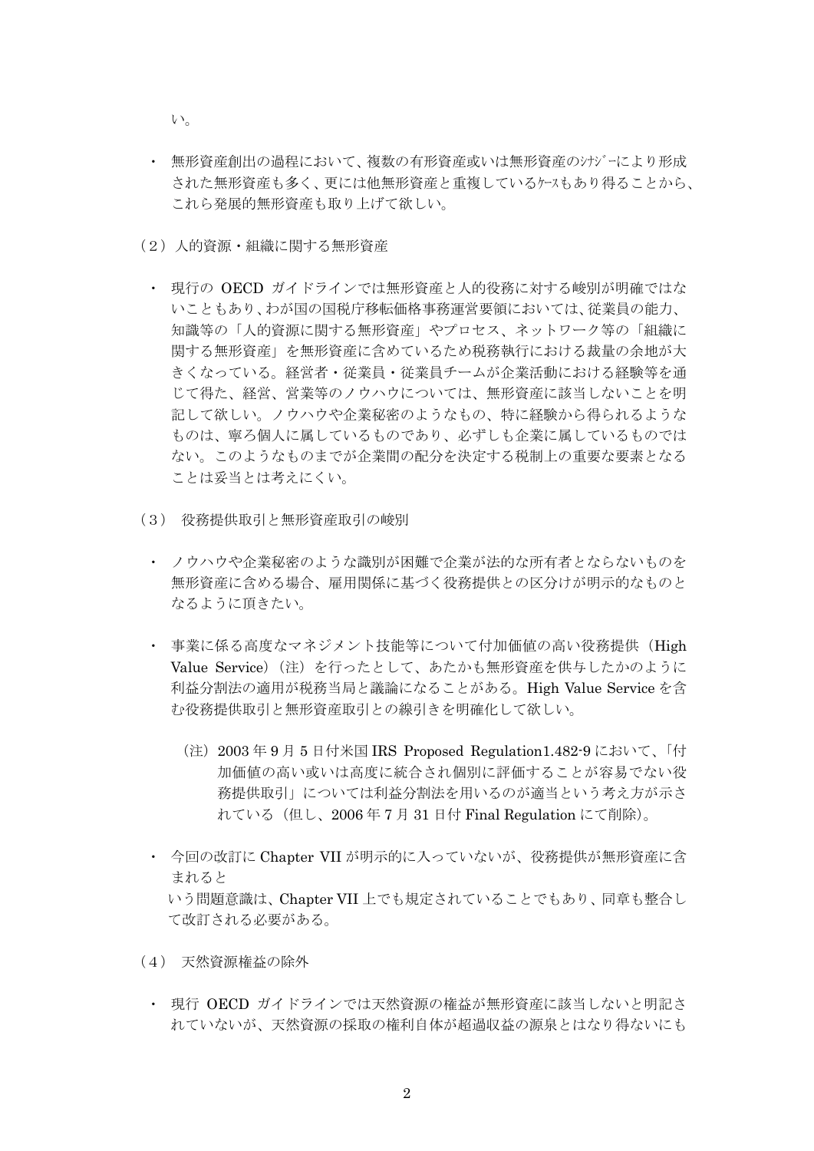い。

- ・ 無形資産創出の過程において、複数の有形資産或いは無形資産のシナジーにより形成 された無形資産も多く、更には他無形資産と重複しているケースもあり得ることから、 これら発展的無形資産も取り上げて欲しい。
- (2)人的資源・組織に関する無形資産
	- ・ 現行の OECD ガイドラインでは無形資産と人的役務に対する峻別が明確ではな いこともあり、わが国の国税庁移転価格事務運営要領においては、従業員の能力、 知識等の「人的資源に関する無形資産」やプロセス、ネットワーク等の「組織に 関する無形資産」を無形資産に含めているため税務執行における裁量の余地が大 きくなっている。経営者・従業員・従業員チームが企業活動における経験等を通 じて得た、経営、営業等のノウハウについては、無形資産に該当しないことを明 記して欲しい。ノウハウや企業秘密のようなもの、特に経験から得られるような ものは、寧ろ個人に属しているものであり、必ずしも企業に属しているものでは ない。このようなものまでが企業間の配分を決定する税制上の重要な要素となる ことは妥当とは考えにくい。
- (3) 役務提供取引と無形資産取引の峻別
	- ・ ノウハウや企業秘密のような識別が困難で企業が法的な所有者とならないものを 無形資産に含める場合、雇用関係に基づく役務提供との区分けが明示的なものと なるように頂きたい。
	- ・ 事業に係る高度なマネジメント技能等について付加価値の高い役務提供(High Value Service) (注) を行ったとして、あたかも無形資産を供与したかのように 利益分割法の適用が税務当局と議論になることがある。High Value Service を含 む役務提供取引と無形資産取引との線引きを明確化して欲しい。
		- (注)2003 年 9 月 5 日付米国 IRS Proposed Regulation1.482-9 において、「付 加価値の高い或いは高度に統合され個別に評価することが容易でない役 務提供取引」については利益分割法を用いるのが適当という考え方が示さ れている(但し、2006 年 7 月 31 日付 Final Regulation にて削除)。
	- ・ 今回の改訂に Chapter VII が明示的に入っていないが、役務提供が無形資産に含 まれると いう問題意識は、Chapter VII 上でも規定されていることでもあり、同章も整合し

て改訂される必要がある。

- (4) 天然資源権益の除外
	- ・ 現行 OECD ガイドラインでは天然資源の権益が無形資産に該当しないと明記さ れていないが、天然資源の採取の権利自体が超過収益の源泉とはなり得ないにも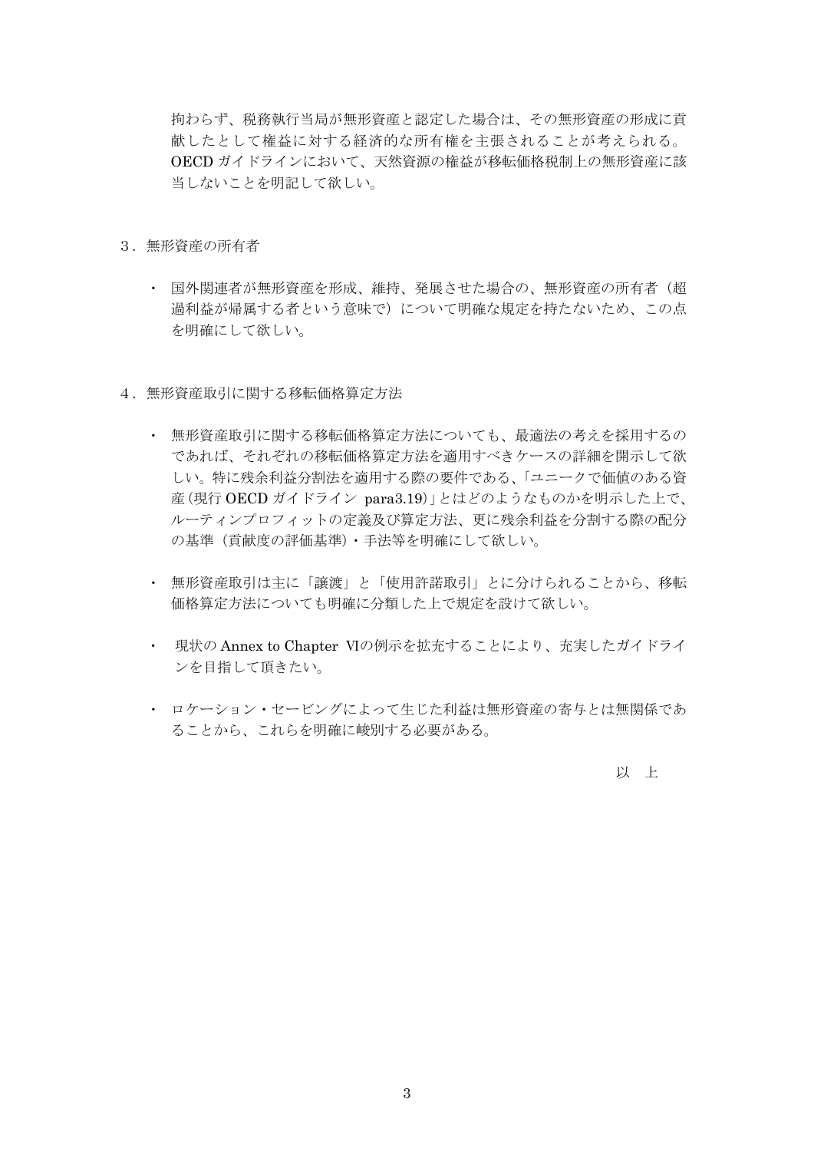拘わらず、税務執行当局が無形資産と認定した場合は、その無形資産の形成に貢 献したとして権益に対する経済的な所有権を主張されることが考えられる。 OECD ガイドラインにおいて、天然資源の権益が移転価格税制上の無形資産に該 当しないことを明記して欲しい。

- 3.無形資産の所有者
	- ・ 国外関連者が無形資産を形成、維持、発展させた場合の、無形資産の所有者(超 過利益が帰属する者という意味で)について明確な規定を持たないため、この点 を明確にして欲しい。
- 4.無形資産取引に関する移転価格算定方法
	- ・ 無形資産取引に関する移転価格算定方法についても、最適法の考えを採用するの であれば、それぞれの移転価格算定方法を適用すべきケースの詳細を開示して欲 しい。特に残余利益分割法を適用する際の要件である、「ユニークで価値のある資 産(現行 OECD ガイドライン para3.19)」とはどのようなものかを明示した上で、 ルーティンプロフィットの定義及び算定方法、更に残余利益を分割する際の配分 の基準(貢献度の評価基準)・手法等を明確にして欲しい。
	- ・ 無形資産取引は主に「譲渡」と「使用許諾取引」とに分けられることから、移転 価格算定方法についても明確に分類した上で規定を設けて欲しい。
	- ・ 現状の Annex to Chapter Ⅵの例示を拡充することにより、充実したガイドライ ンを目指して頂きたい。
	- ・ ロケーション・セービングによって生じた利益は無形資産の寄与とは無関係であ ることから、これらを明確に峻別する必要がある。

以 上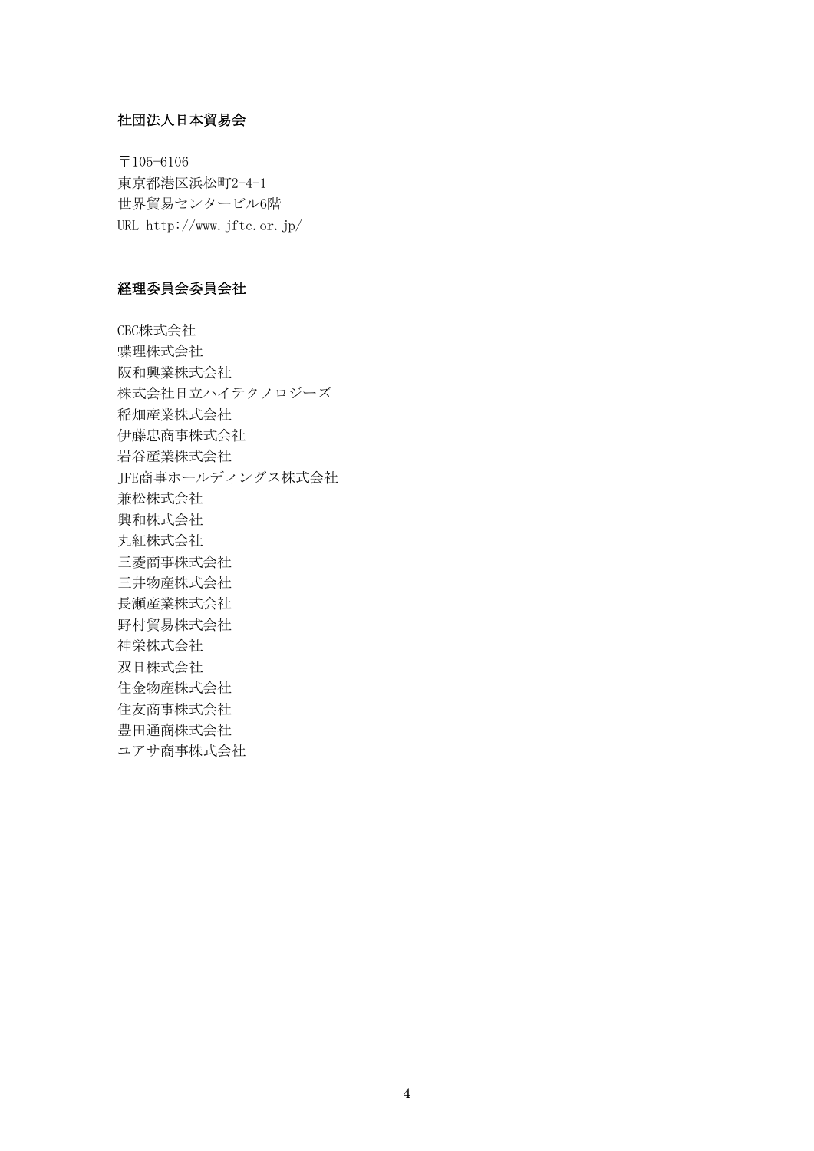# 社団法人日本貿易会

〒105-6106 東京都港区浜松町2-4-1 世界貿易センタービル6階 URL http://www.jftc.or.jp/

## 経理委員会委員会社

CBC株式会社 蝶理株式会社 阪和興業株式会社 株式会社日立ハイテクノロジーズ 稲畑産業株式会社 伊藤忠商事株式会社 岩谷産業株式会社 JFE商事ホールディングス株式会社 兼松株式会社 興和株式会社 丸紅株式会社 三菱商事株式会社 三井物産株式会社 長瀬産業株式会社 野村貿易株式会社 神栄株式会社 双日株式会社 住金物産株式会社 住友商事株式会社 豊田通商株式会社 ユアサ商事株式会社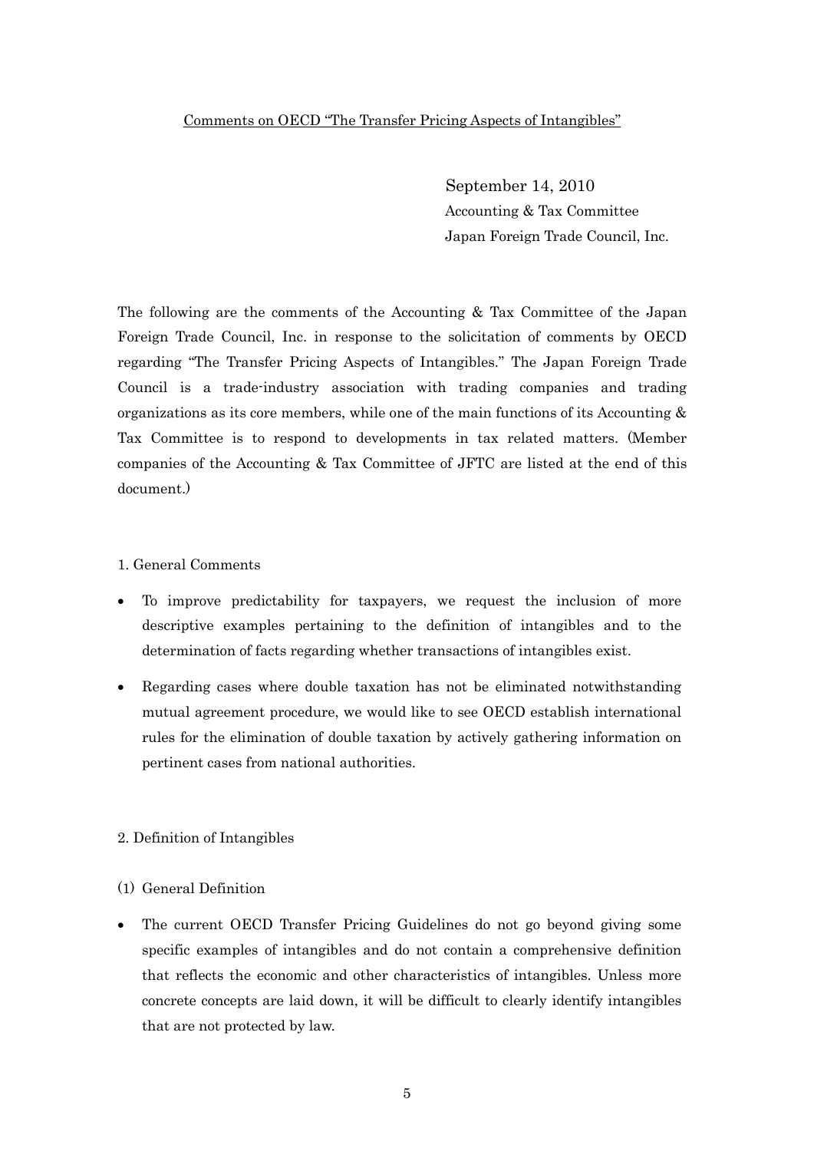# Comments on OECD "The Transfer Pricing Aspects of Intangibles"

September 14, 2010 Accounting & Tax Committee Japan Foreign Trade Council, Inc.

The following are the comments of the Accounting & Tax Committee of the Japan Foreign Trade Council, Inc. in response to the solicitation of comments by OECD regarding "The Transfer Pricing Aspects of Intangibles." The Japan Foreign Trade Council is a trade-industry association with trading companies and trading organizations as its core members, while one of the main functions of its Accounting & Tax Committee is to respond to developments in tax related matters. (Member companies of the Accounting & Tax Committee of JFTC are listed at the end of this document.)

## 1. General Comments

- To improve predictability for taxpayers, we request the inclusion of more descriptive examples pertaining to the definition of intangibles and to the determination of facts regarding whether transactions of intangibles exist.
- Regarding cases where double taxation has not be eliminated notwithstanding mutual agreement procedure, we would like to see OECD establish international rules for the elimination of double taxation by actively gathering information on pertinent cases from national authorities.

## 2. Definition of Intangibles

## (1) General Definition

• The current OECD Transfer Pricing Guidelines do not go beyond giving some specific examples of intangibles and do not contain a comprehensive definition that reflects the economic and other characteristics of intangibles. Unless more concrete concepts are laid down, it will be difficult to clearly identify intangibles that are not protected by law.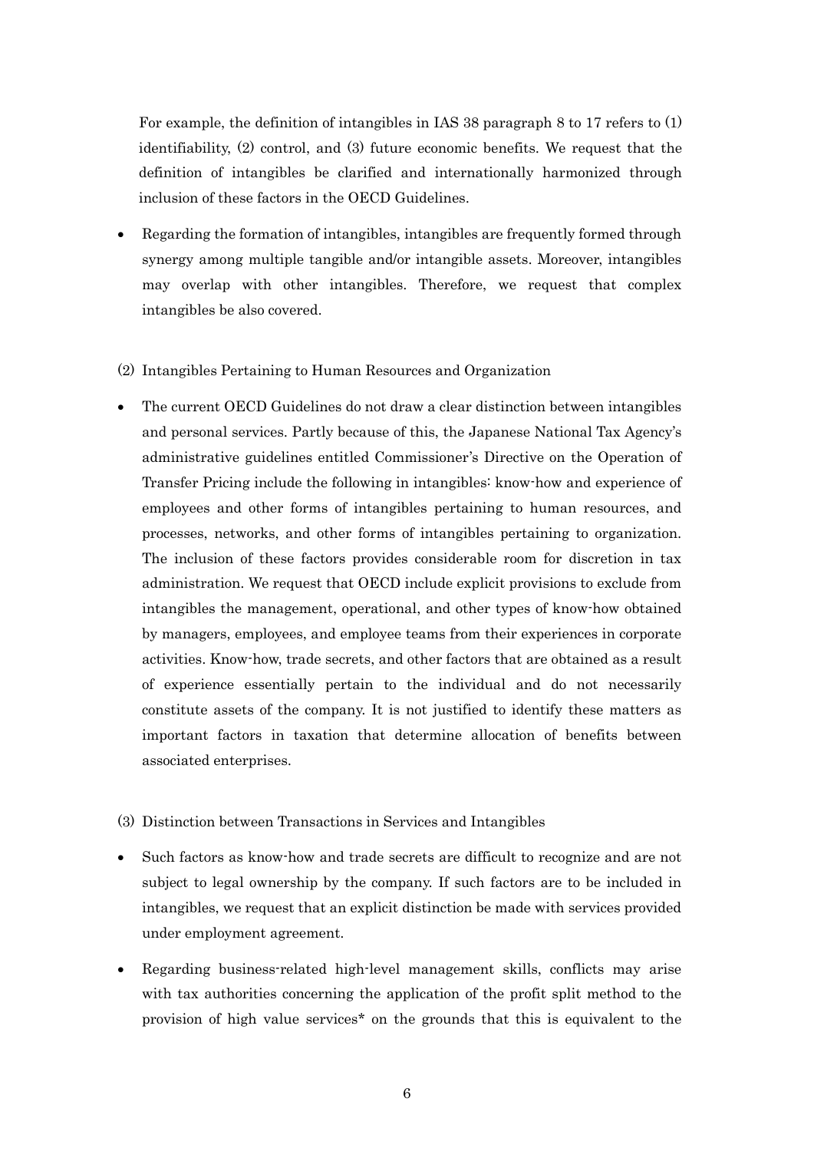For example, the definition of intangibles in IAS 38 paragraph 8 to 17 refers to (1) identifiability, (2) control, and (3) future economic benefits. We request that the definition of intangibles be clarified and internationally harmonized through inclusion of these factors in the OECD Guidelines.

- Regarding the formation of intangibles, intangibles are frequently formed through synergy among multiple tangible and/or intangible assets. Moreover, intangibles may overlap with other intangibles. Therefore, we request that complex intangibles be also covered.
- (2) Intangibles Pertaining to Human Resources and Organization
- The current OECD Guidelines do not draw a clear distinction between intangibles and personal services. Partly because of this, the Japanese National Tax Agency's administrative guidelines entitled Commissioner's Directive on the Operation of Transfer Pricing include the following in intangibles: know-how and experience of employees and other forms of intangibles pertaining to human resources, and processes, networks, and other forms of intangibles pertaining to organization. The inclusion of these factors provides considerable room for discretion in tax administration. We request that OECD include explicit provisions to exclude from intangibles the management, operational, and other types of know-how obtained by managers, employees, and employee teams from their experiences in corporate activities. Know-how, trade secrets, and other factors that are obtained as a result of experience essentially pertain to the individual and do not necessarily constitute assets of the company. It is not justified to identify these matters as important factors in taxation that determine allocation of benefits between associated enterprises.
- (3) Distinction between Transactions in Services and Intangibles
- Such factors as know-how and trade secrets are difficult to recognize and are not subject to legal ownership by the company. If such factors are to be included in intangibles, we request that an explicit distinction be made with services provided under employment agreement.
- Regarding business-related high-level management skills, conflicts may arise with tax authorities concerning the application of the profit split method to the provision of high value services\* on the grounds that this is equivalent to the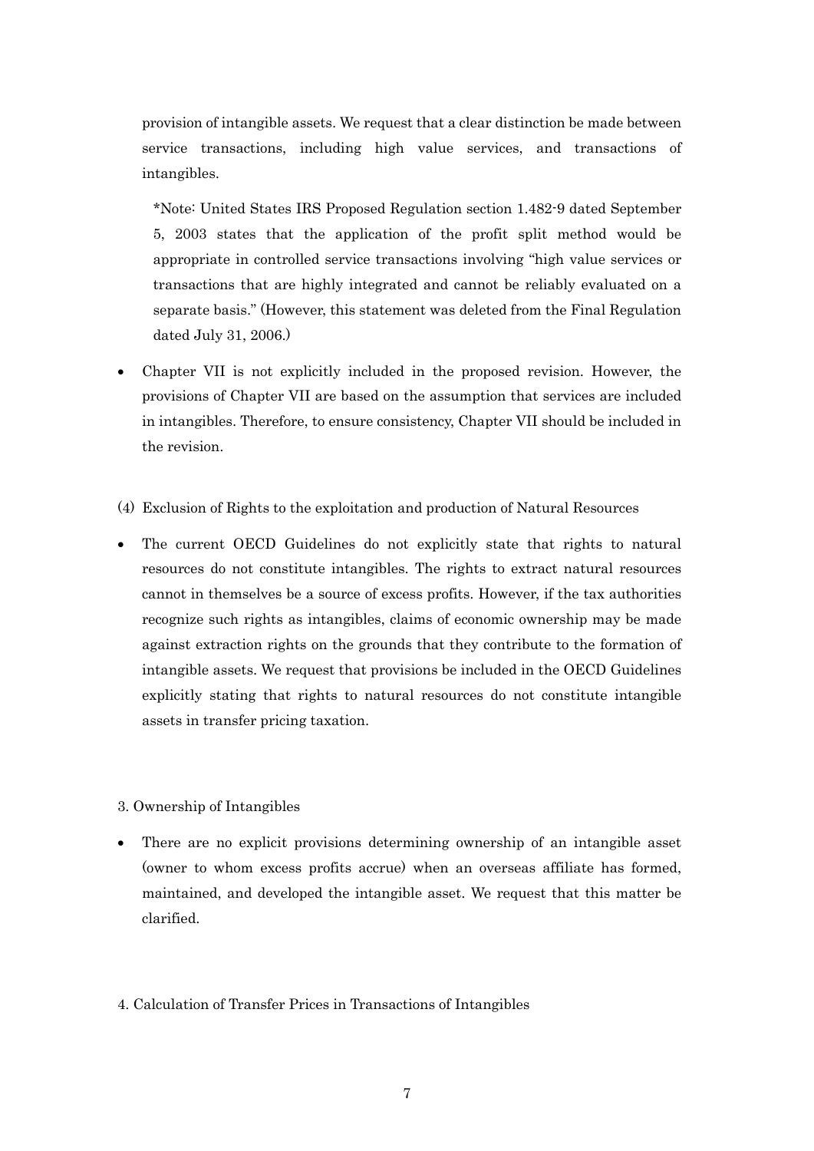provision of intangible assets. We request that a clear distinction be made between service transactions, including high value services, and transactions of intangibles.

 \*Note: United States IRS Proposed Regulation section 1.482-9 dated September 5, 2003 states that the application of the profit split method would be appropriate in controlled service transactions involving "high value services or transactions that are highly integrated and cannot be reliably evaluated on a separate basis." (However, this statement was deleted from the Final Regulation dated July 31, 2006.)

- Chapter VII is not explicitly included in the proposed revision. However, the provisions of Chapter VII are based on the assumption that services are included in intangibles. Therefore, to ensure consistency, Chapter VII should be included in the revision.
- (4) Exclusion of Rights to the exploitation and production of Natural Resources
- The current OECD Guidelines do not explicitly state that rights to natural resources do not constitute intangibles. The rights to extract natural resources cannot in themselves be a source of excess profits. However, if the tax authorities recognize such rights as intangibles, claims of economic ownership may be made against extraction rights on the grounds that they contribute to the formation of intangible assets. We request that provisions be included in the OECD Guidelines explicitly stating that rights to natural resources do not constitute intangible assets in transfer pricing taxation.

#### 3. Ownership of Intangibles

• There are no explicit provisions determining ownership of an intangible asset (owner to whom excess profits accrue) when an overseas affiliate has formed, maintained, and developed the intangible asset. We request that this matter be clarified.

#### 4. Calculation of Transfer Prices in Transactions of Intangibles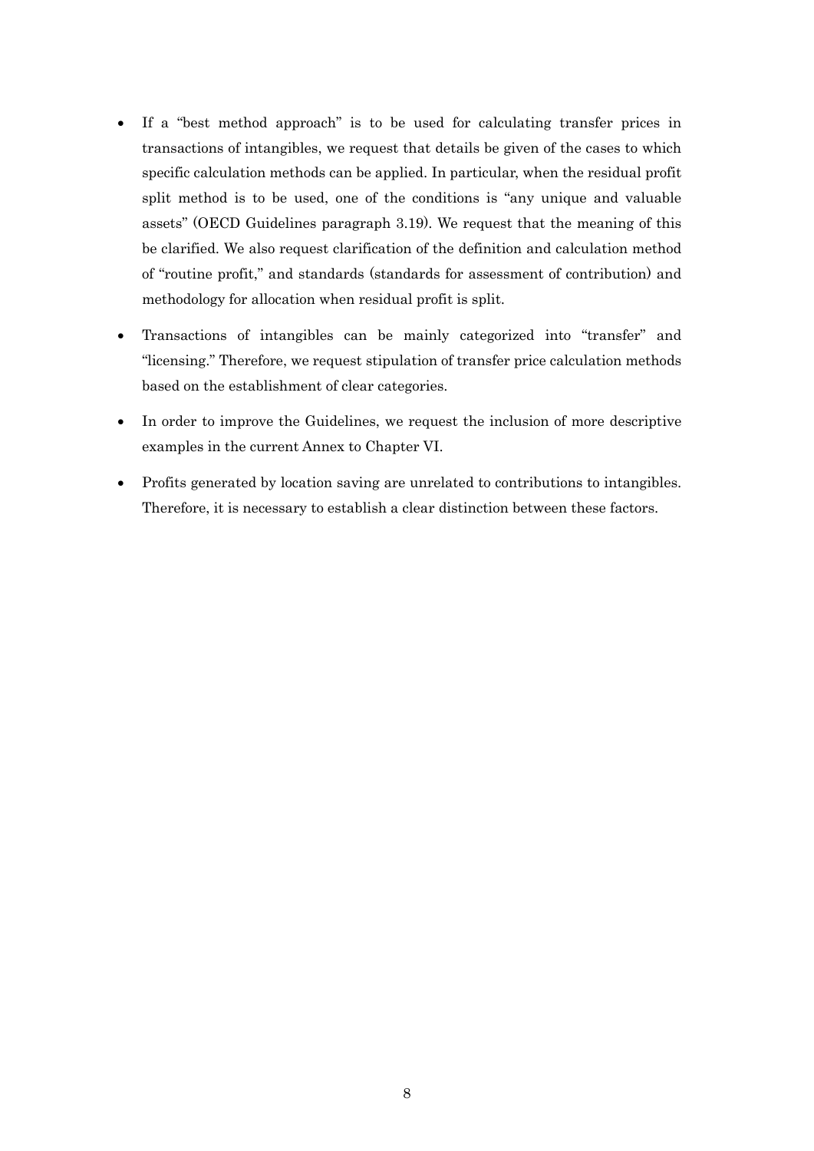- If a "best method approach" is to be used for calculating transfer prices in transactions of intangibles, we request that details be given of the cases to which specific calculation methods can be applied. In particular, when the residual profit split method is to be used, one of the conditions is "any unique and valuable assets" (OECD Guidelines paragraph 3.19). We request that the meaning of this be clarified. We also request clarification of the definition and calculation method of "routine profit," and standards (standards for assessment of contribution) and methodology for allocation when residual profit is split.
- Transactions of intangibles can be mainly categorized into "transfer" and "licensing." Therefore, we request stipulation of transfer price calculation methods based on the establishment of clear categories.
- In order to improve the Guidelines, we request the inclusion of more descriptive examples in the current Annex to Chapter VI.
- Profits generated by location saving are unrelated to contributions to intangibles. Therefore, it is necessary to establish a clear distinction between these factors.